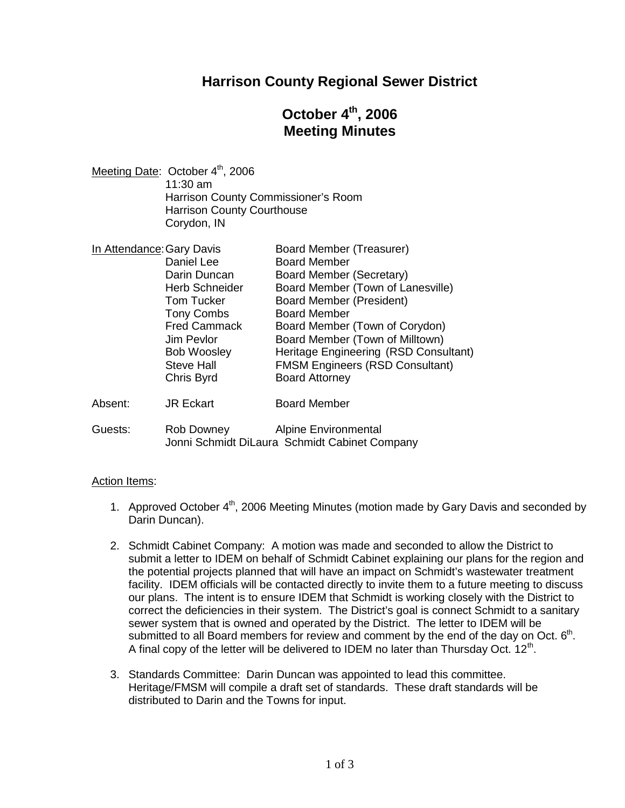### **Harrison County Regional Sewer District**

# **October 4th , 2006 Meeting Minutes**

Meeting Date: October 4<sup>th</sup>, 2006 11:30 am Harrison County Commissioner's Room Harrison County Courthouse Corydon, IN

| In Attendance: Gary Davis                                                                  | Board Member (Treasurer)                                                                                                                                                      |
|--------------------------------------------------------------------------------------------|-------------------------------------------------------------------------------------------------------------------------------------------------------------------------------|
| Daniel Lee                                                                                 | <b>Board Member</b>                                                                                                                                                           |
| Darin Duncan                                                                               | Board Member (Secretary)                                                                                                                                                      |
| <b>Herb Schneider</b>                                                                      | Board Member (Town of Lanesville)                                                                                                                                             |
| <b>Tom Tucker</b>                                                                          | <b>Board Member (President)</b>                                                                                                                                               |
| <b>Tony Combs</b>                                                                          | <b>Board Member</b>                                                                                                                                                           |
| <b>Fred Cammack</b><br>Jim Pevlor<br><b>Bob Woosley</b><br><b>Steve Hall</b><br>Chris Byrd | Board Member (Town of Corydon)<br>Board Member (Town of Milltown)<br>Heritage Engineering (RSD Consultant)<br><b>FMSM Engineers (RSD Consultant)</b><br><b>Board Attorney</b> |
| <b>JR Eckart</b>                                                                           | <b>Board Member</b>                                                                                                                                                           |
|                                                                                            |                                                                                                                                                                               |

Guests: Rob Downey Alpine Environmental Jonni Schmidt DiLaura Schmidt Cabinet Company

#### Action Items:

- 1. Approved October 4<sup>th</sup>, 2006 Meeting Minutes (motion made by Gary Davis and seconded by Darin Duncan).
- 2. Schmidt Cabinet Company: A motion was made and seconded to allow the District to submit a letter to IDEM on behalf of Schmidt Cabinet explaining our plans for the region and the potential projects planned that will have an impact on Schmidt's wastewater treatment facility. IDEM officials will be contacted directly to invite them to a future meeting to discuss our plans. The intent is to ensure IDEM that Schmidt is working closely with the District to correct the deficiencies in their system. The District's goal is connect Schmidt to a sanitary sewer system that is owned and operated by the District. The letter to IDEM will be submitted to all Board members for review and comment by the end of the day on Oct.  $6<sup>th</sup>$ . A final copy of the letter will be delivered to IDEM no later than Thursday Oct.  $12^{th}$ .
- 3. Standards Committee: Darin Duncan was appointed to lead this committee. Heritage/FMSM will compile a draft set of standards. These draft standards will be distributed to Darin and the Towns for input.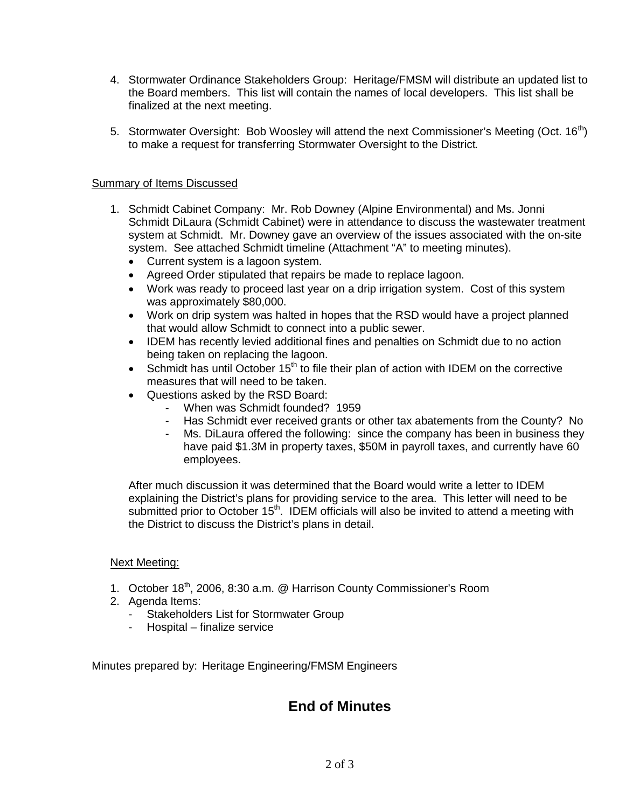- 4. Stormwater Ordinance Stakeholders Group: Heritage/FMSM will distribute an updated list to the Board members. This list will contain the names of local developers. This list shall be finalized at the next meeting.
- 5. Stormwater Oversight: Bob Woosley will attend the next Commissioner's Meeting (Oct. 16<sup>th</sup>) to make a request for transferring Stormwater Oversight to the District.

#### Summary of Items Discussed

- 1. Schmidt Cabinet Company: Mr. Rob Downey (Alpine Environmental) and Ms. Jonni Schmidt DiLaura (Schmidt Cabinet) were in attendance to discuss the wastewater treatment system at Schmidt. Mr. Downey gave an overview of the issues associated with the on-site system. See attached Schmidt timeline (Attachment "A" to meeting minutes).
	- Current system is a lagoon system.
	- Agreed Order stipulated that repairs be made to replace lagoon.
	- Work was ready to proceed last year on a drip irrigation system. Cost of this system was approximately \$80,000.
	- Work on drip system was halted in hopes that the RSD would have a project planned that would allow Schmidt to connect into a public sewer.
	- IDEM has recently levied additional fines and penalties on Schmidt due to no action being taken on replacing the lagoon.
	- Schmidt has until October  $15<sup>th</sup>$  to file their plan of action with IDEM on the corrective measures that will need to be taken.
	- Questions asked by the RSD Board:
		- When was Schmidt founded? 1959
		- Has Schmidt ever received grants or other tax abatements from the County? No
		- Ms. DiLaura offered the following: since the company has been in business they have paid \$1.3M in property taxes, \$50M in payroll taxes, and currently have 60 employees.

After much discussion it was determined that the Board would write a letter to IDEM explaining the District's plans for providing service to the area. This letter will need to be submitted prior to October  $15<sup>th</sup>$ . IDEM officials will also be invited to attend a meeting with the District to discuss the District's plans in detail.

#### Next Meeting:

- 1. October 18<sup>th</sup>, 2006, 8:30 a.m. @ Harrison County Commissioner's Room
- 2. Agenda Items:
	- Stakeholders List for Stormwater Group
	- Hospital finalize service

Minutes prepared by: Heritage Engineering/FMSM Engineers

## **End of Minutes**